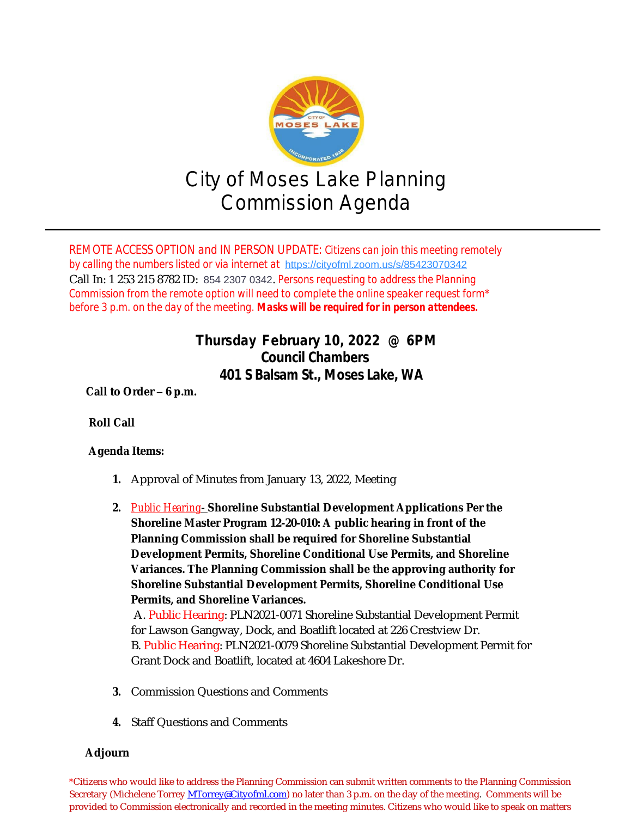

*REMOTE ACCESS OPTION and IN PERSON UPDATE: Citizens can join this meeting remotely by calling the numbers listed or via internet at* [https://cityofml.zoom.us/s/85423070342](https://us-west-2.protection.sophos.com?d=zoom.us&u=aHR0cHM6Ly9jaXR5b2ZtbC56b29tLnVzL3MvODU0MjMwNzAzNDI=&i=NWY1MWU1ZmMwYTc2YjQwZWM0NWU5MTJm&t=OXA3QkQ4TGcyZnNLZWg5bGxlZURIaWc2ZGkwb3NpVHdBejF4OHlXa1I2az0=&h=5b437735605449a09d4935b1f072e819) Call In: 1 253 215 8782 ID: 854 2307 0342. *Persons requesting to address the Planning Commission from the remote option will need to complete the online speaker request form\* before 3 p.m. on the day of the meeting. Masks will be required for in person attendees.*

## **Thursday February 10, 2022 @ 6PM Council Chambers 401 S Balsam St., Moses Lake, WA**

**Call to Order – 6 p.m.**

## **Roll Call**

## **Agenda Items:**

- **1.** Approval of Minutes from January 13, 2022, Meeting
- **2.** *Public Hearing* **Shoreline Substantial Development Applications Per the Shoreline Master Program 12-20-010: A public hearing in front of the Planning Commission shall be required for Shoreline Substantial Development Permits, Shoreline Conditional Use Permits, and Shoreline Variances. The Planning Commission shall be the approving authority for Shoreline Substantial Development Permits, Shoreline Conditional Use Permits, and Shoreline Variances.**

A. Public Hearing: PLN2021-0071 Shoreline Substantial Development Permit for Lawson Gangway, Dock, and Boatlift located at 226 Crestview Dr. B. Public Hearing: PLN2021-0079 Shoreline Substantial Development Permit for Grant Dock and Boatlift, located at 4604 Lakeshore Dr.

- **3.** Commission Questions and Comments
- **4.** Staff Questions and Comments

## **Adjourn**

**\***Citizens who would like to address the Planning Commission can submit written comments to the Planning Commission Secretary (Michelene Torrey *MTorrey@Cityofml.com*) no later than 3 p.m. on the day of the meeting. Comments will be provided to Commission electronically and recorded in the meeting minutes. Citizens who would like to speak on matters